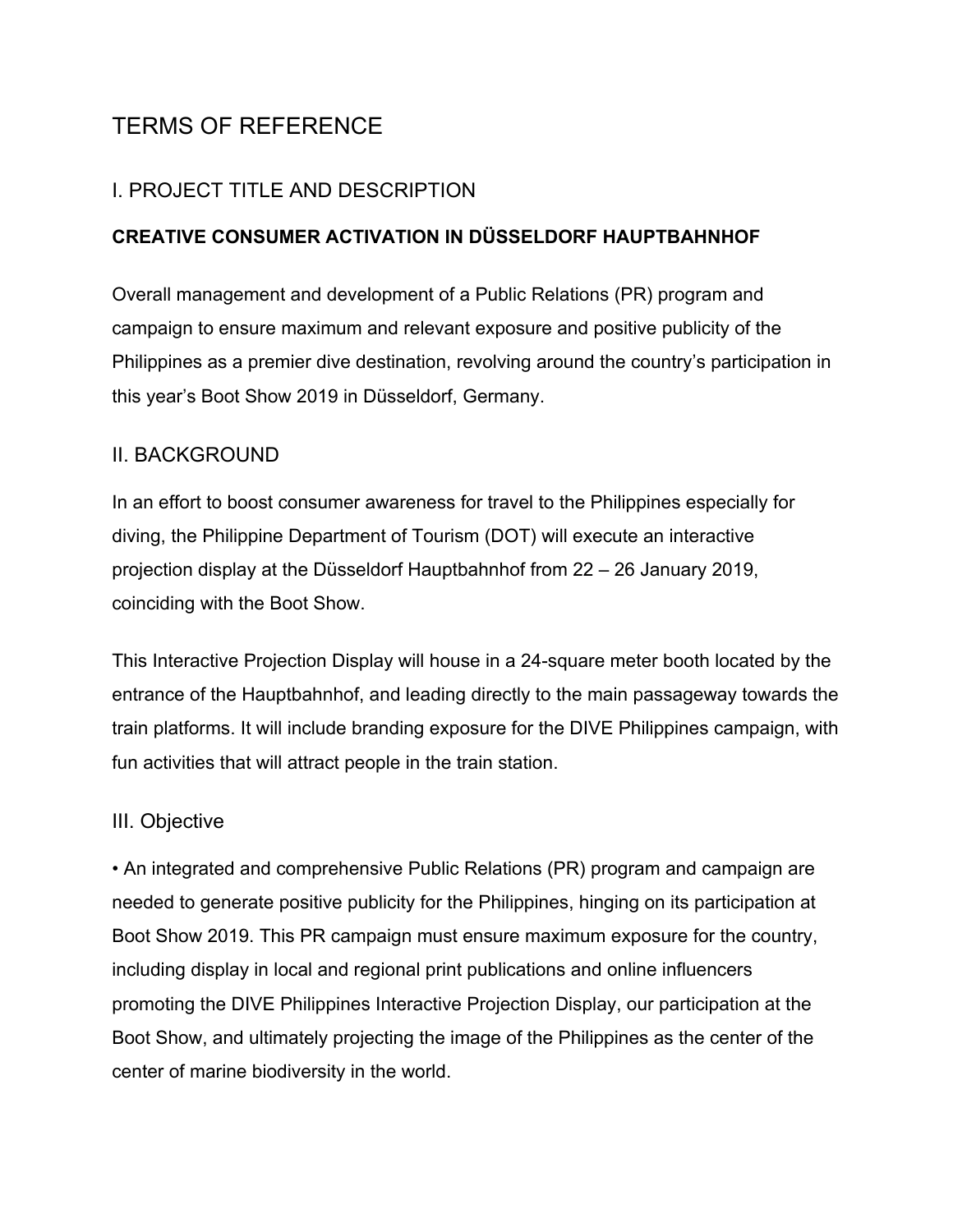# TERMS OF REFERENCE

## I. PROJECT TITLE AND DESCRIPTION

#### **CREATIVE CONSUMER ACTIVATION IN DÜSSELDORF HAUPTBAHNHOF**

Overall management and development of a Public Relations (PR) program and campaign to ensure maximum and relevant exposure and positive publicity of the Philippines as a premier dive destination, revolving around the country's participation in this year's Boot Show 2019 in Düsseldorf, Germany.

#### II. BACKGROUND

In an effort to boost consumer awareness for travel to the Philippines especially for diving, the Philippine Department of Tourism (DOT) will execute an interactive projection display at the Düsseldorf Hauptbahnhof from 22 – 26 January 2019, coinciding with the Boot Show.

This Interactive Projection Display will house in a 24-square meter booth located by the entrance of the Hauptbahnhof, and leading directly to the main passageway towards the train platforms. It will include branding exposure for the DIVE Philippines campaign, with fun activities that will attract people in the train station.

## III. Objective

• An integrated and comprehensive Public Relations (PR) program and campaign are needed to generate positive publicity for the Philippines, hinging on its participation at Boot Show 2019. This PR campaign must ensure maximum exposure for the country, including display in local and regional print publications and online influencers promoting the DIVE Philippines Interactive Projection Display, our participation at the Boot Show, and ultimately projecting the image of the Philippines as the center of the center of marine biodiversity in the world.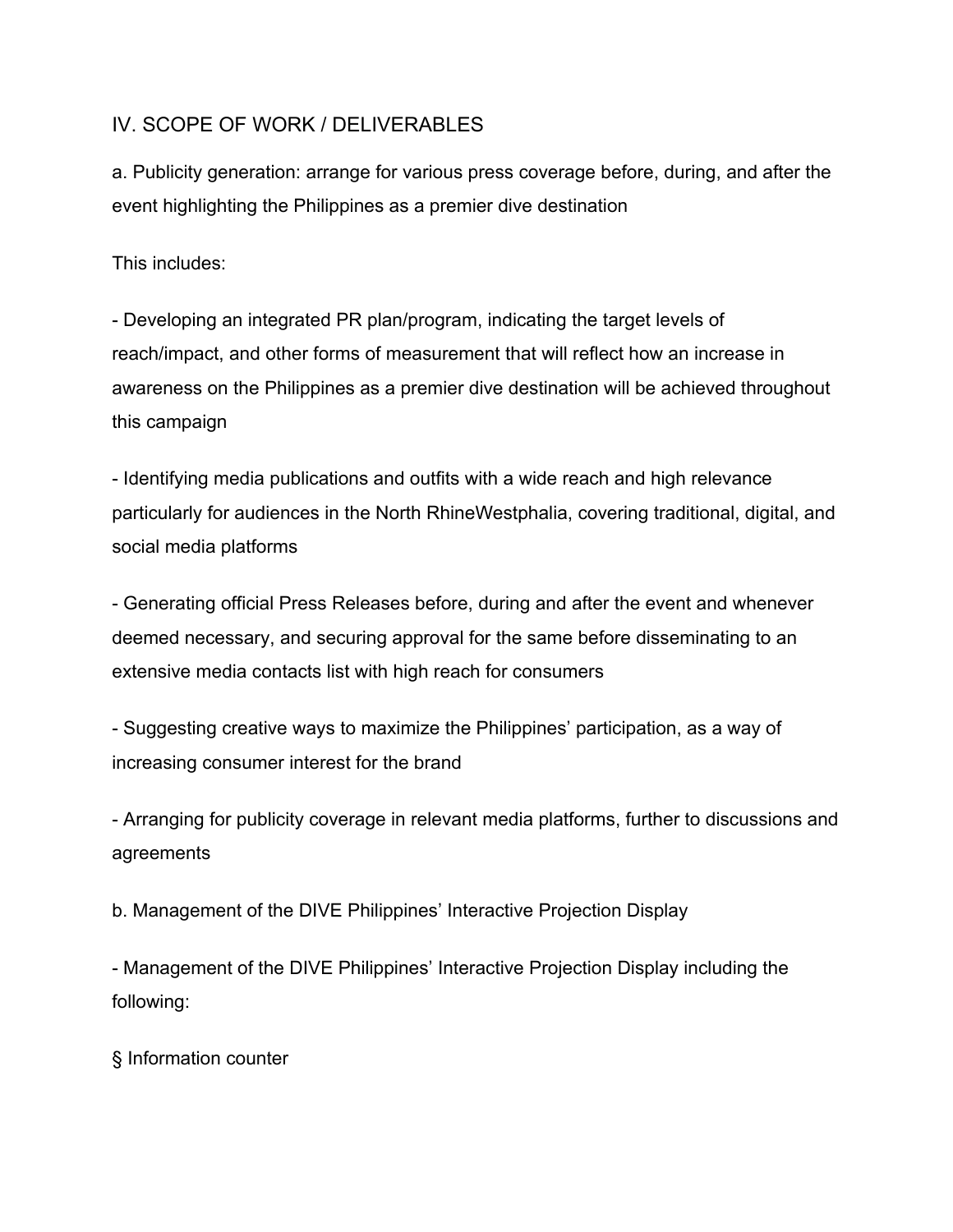#### IV. SCOPE OF WORK / DELIVERABLES

a. Publicity generation: arrange for various press coverage before, during, and after the event highlighting the Philippines as a premier dive destination

This includes:

- Developing an integrated PR plan/program, indicating the target levels of reach/impact, and other forms of measurement that will reflect how an increase in awareness on the Philippines as a premier dive destination will be achieved throughout this campaign

- Identifying media publications and outfits with a wide reach and high relevance particularly for audiences in the North RhineWestphalia, covering traditional, digital, and social media platforms

- Generating official Press Releases before, during and after the event and whenever deemed necessary, and securing approval for the same before disseminating to an extensive media contacts list with high reach for consumers

- Suggesting creative ways to maximize the Philippines' participation, as a way of increasing consumer interest for the brand

- Arranging for publicity coverage in relevant media platforms, further to discussions and agreements

b. Management of the DIVE Philippines' Interactive Projection Display

- Management of the DIVE Philippines' Interactive Projection Display including the following:

§ Information counter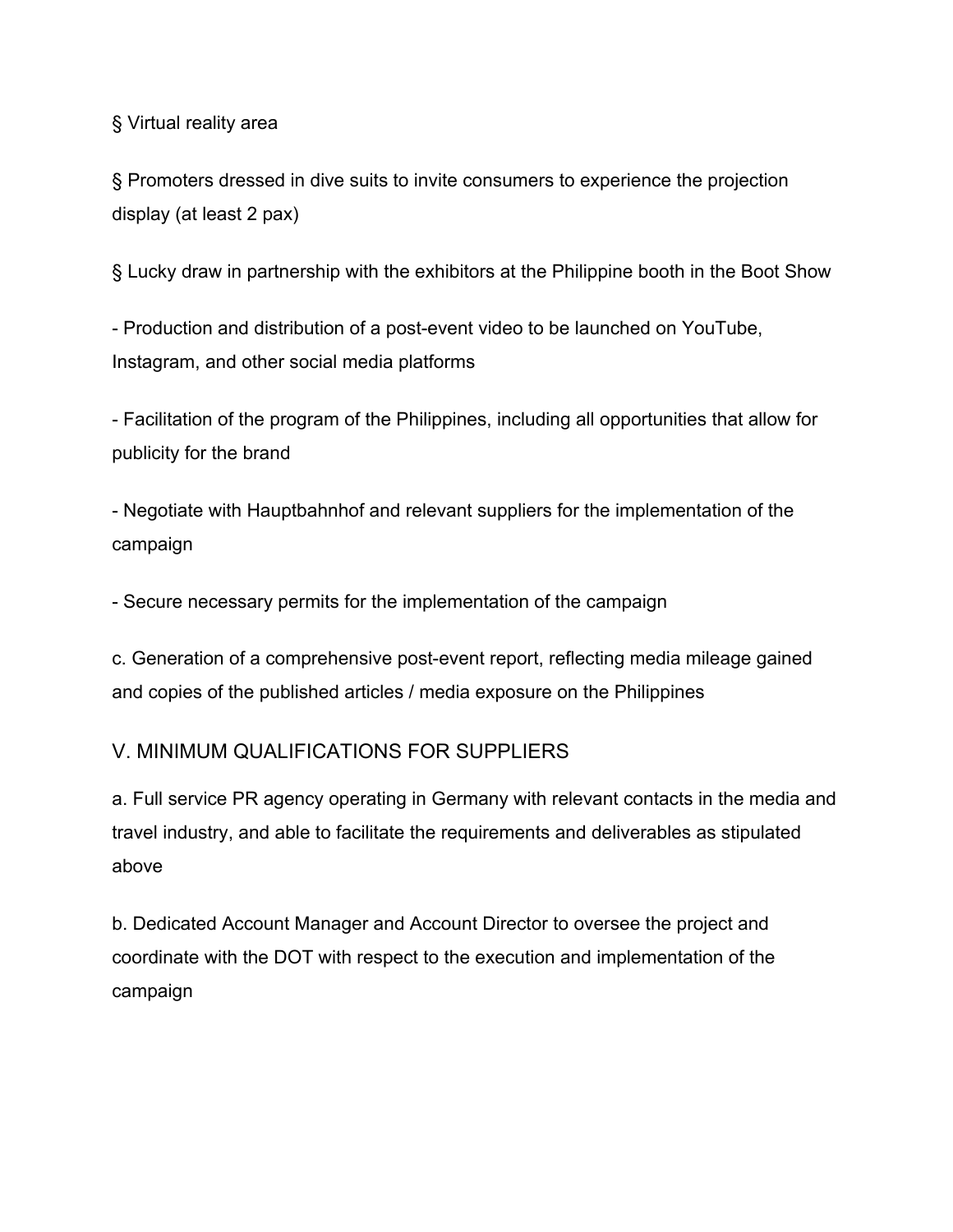§ Virtual reality area

§ Promoters dressed in dive suits to invite consumers to experience the projection display (at least 2 pax)

§ Lucky draw in partnership with the exhibitors at the Philippine booth in the Boot Show

- Production and distribution of a post-event video to be launched on YouTube, Instagram, and other social media platforms

- Facilitation of the program of the Philippines, including all opportunities that allow for publicity for the brand

- Negotiate with Hauptbahnhof and relevant suppliers for the implementation of the campaign

- Secure necessary permits for the implementation of the campaign

c. Generation of a comprehensive post-event report, reflecting media mileage gained and copies of the published articles / media exposure on the Philippines

# V. MINIMUM QUALIFICATIONS FOR SUPPLIERS

a. Full service PR agency operating in Germany with relevant contacts in the media and travel industry, and able to facilitate the requirements and deliverables as stipulated above

b. Dedicated Account Manager and Account Director to oversee the project and coordinate with the DOT with respect to the execution and implementation of the campaign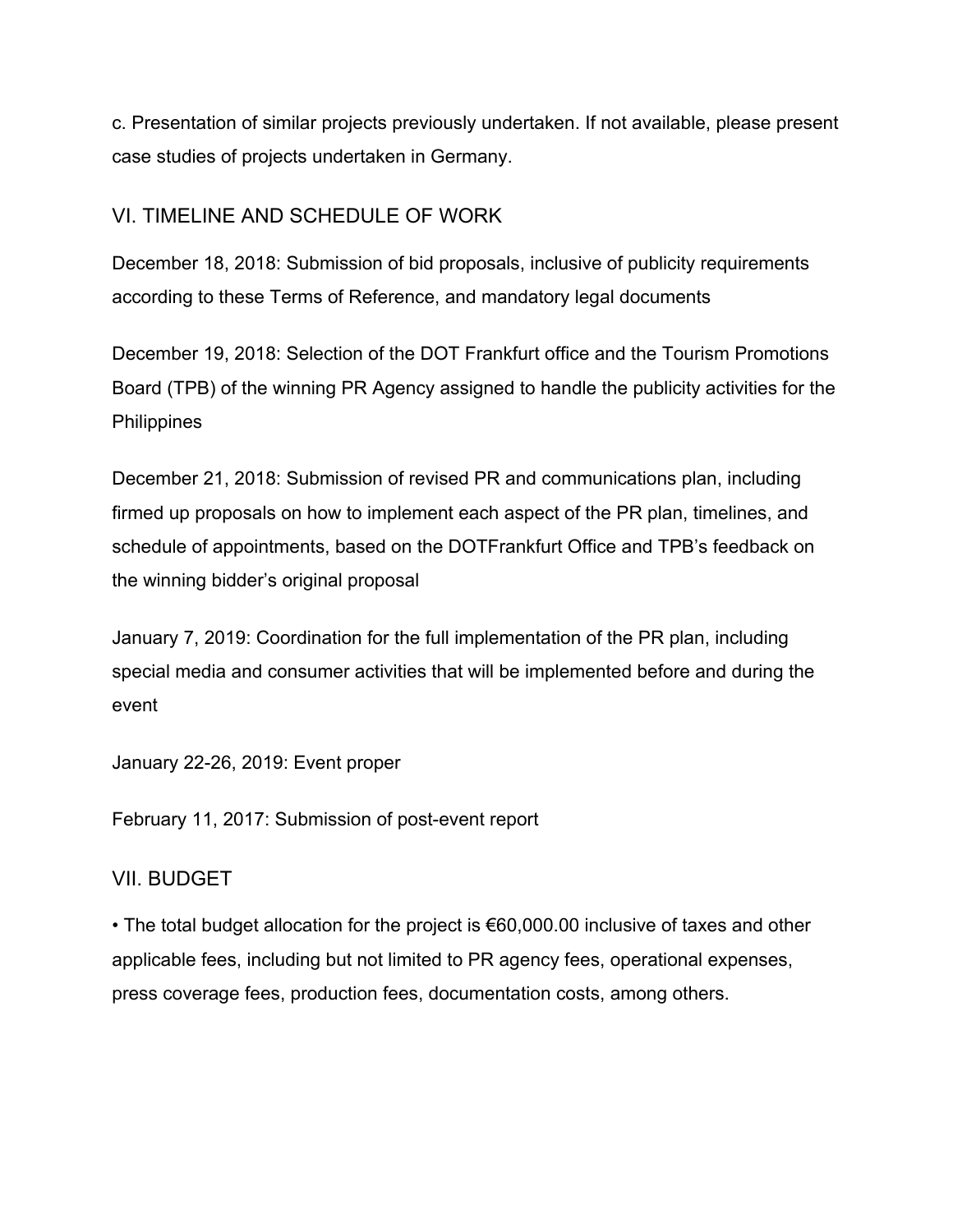c. Presentation of similar projects previously undertaken. If not available, please present case studies of projects undertaken in Germany.

## VI. TIMELINE AND SCHEDULE OF WORK

December 18, 2018: Submission of bid proposals, inclusive of publicity requirements according to these Terms of Reference, and mandatory legal documents

December 19, 2018: Selection of the DOT Frankfurt office and the Tourism Promotions Board (TPB) of the winning PR Agency assigned to handle the publicity activities for the **Philippines** 

December 21, 2018: Submission of revised PR and communications plan, including firmed up proposals on how to implement each aspect of the PR plan, timelines, and schedule of appointments, based on the DOTFrankfurt Office and TPB's feedback on the winning bidder's original proposal

January 7, 2019: Coordination for the full implementation of the PR plan, including special media and consumer activities that will be implemented before and during the event

January 22-26, 2019: Event proper

February 11, 2017: Submission of post-event report

## VII. BUDGET

• The total budget allocation for the project is €60,000.00 inclusive of taxes and other applicable fees, including but not limited to PR agency fees, operational expenses, press coverage fees, production fees, documentation costs, among others.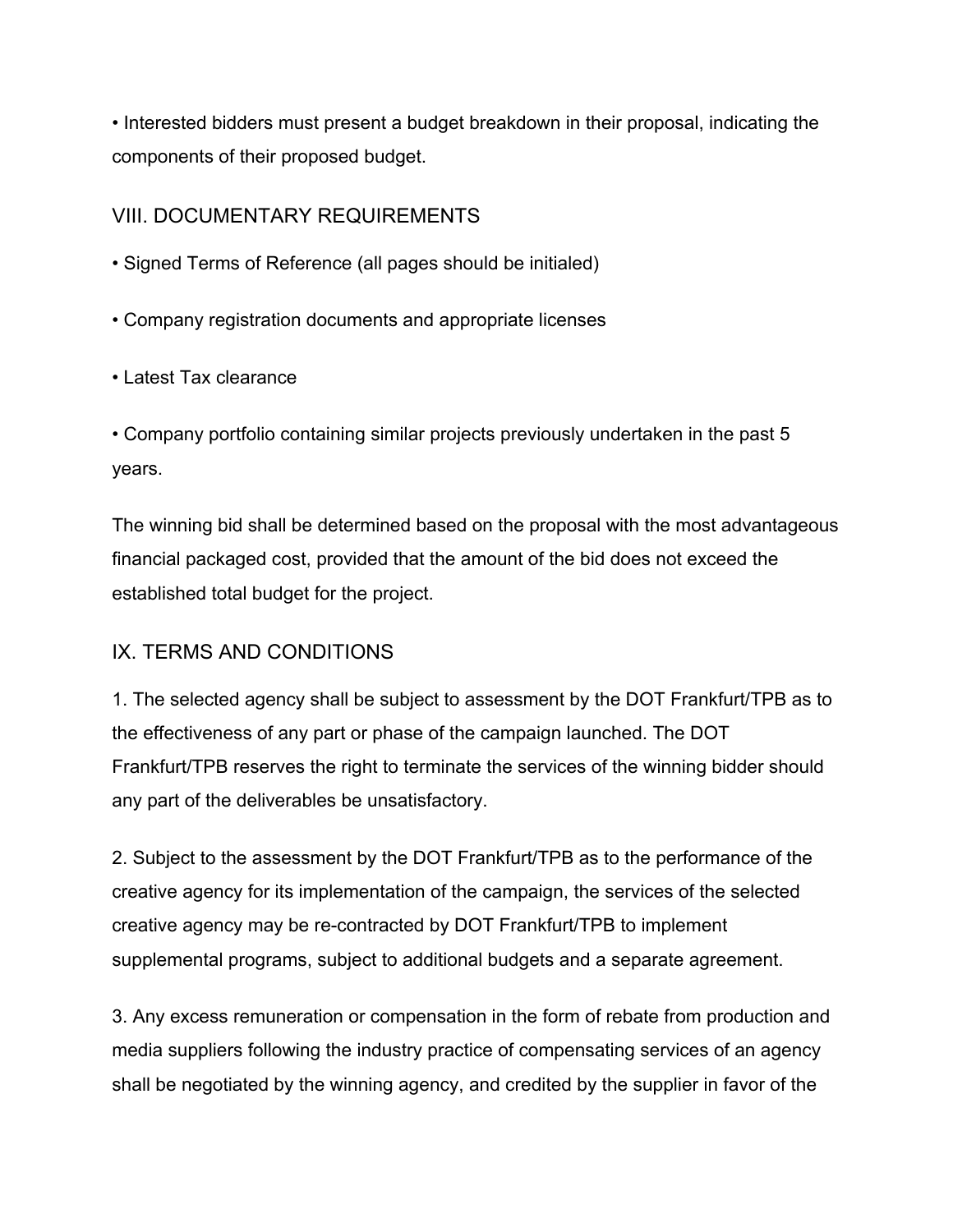• Interested bidders must present a budget breakdown in their proposal, indicating the components of their proposed budget.

## VIII. DOCUMENTARY REQUIREMENTS

- Signed Terms of Reference (all pages should be initialed)
- Company registration documents and appropriate licenses
- Latest Tax clearance

• Company portfolio containing similar projects previously undertaken in the past 5 years.

The winning bid shall be determined based on the proposal with the most advantageous financial packaged cost, provided that the amount of the bid does not exceed the established total budget for the project.

# IX. TERMS AND CONDITIONS

1. The selected agency shall be subject to assessment by the DOT Frankfurt/TPB as to the effectiveness of any part or phase of the campaign launched. The DOT Frankfurt/TPB reserves the right to terminate the services of the winning bidder should any part of the deliverables be unsatisfactory.

2. Subject to the assessment by the DOT Frankfurt/TPB as to the performance of the creative agency for its implementation of the campaign, the services of the selected creative agency may be re-contracted by DOT Frankfurt/TPB to implement supplemental programs, subject to additional budgets and a separate agreement.

3. Any excess remuneration or compensation in the form of rebate from production and media suppliers following the industry practice of compensating services of an agency shall be negotiated by the winning agency, and credited by the supplier in favor of the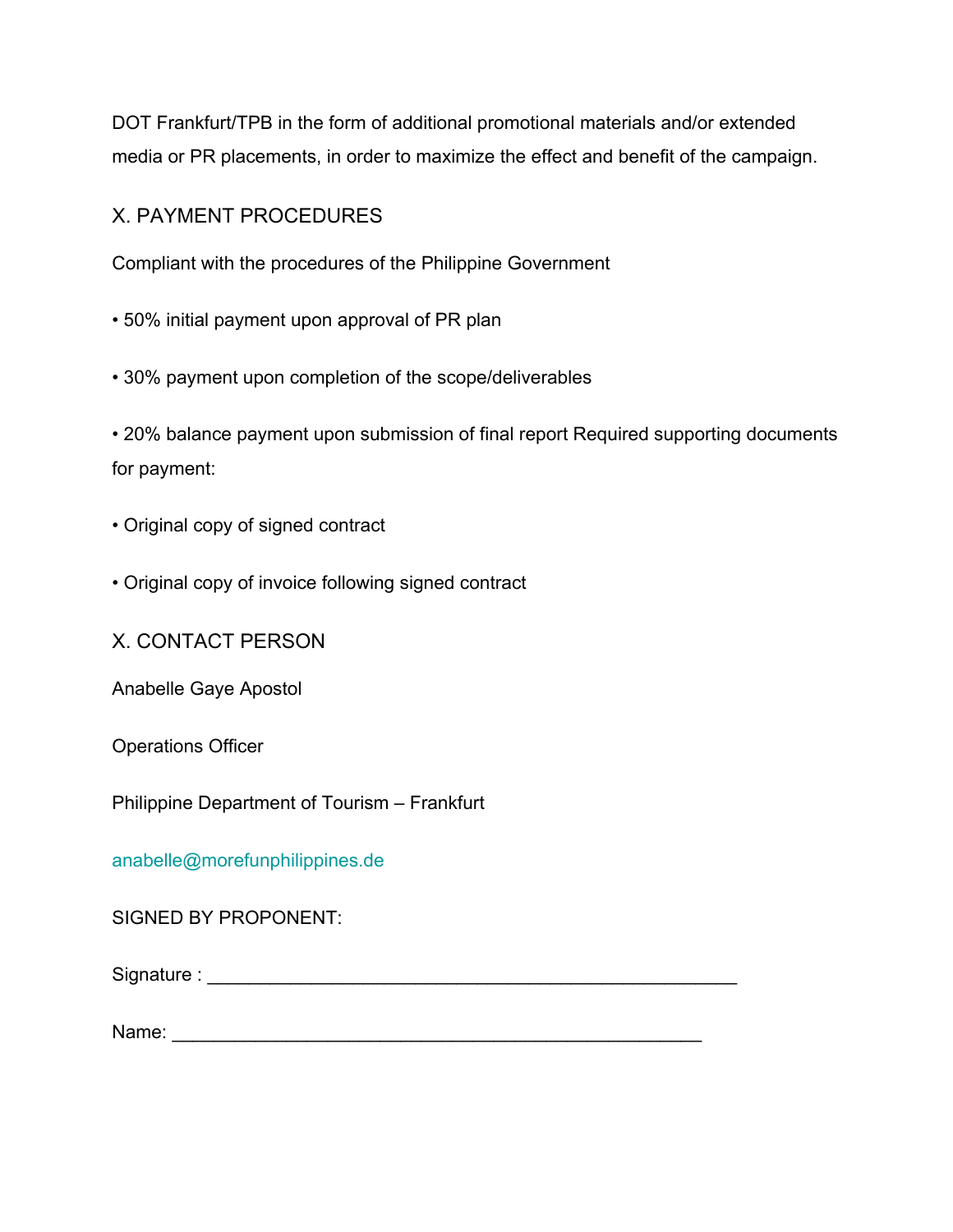DOT Frankfurt/TPB in the form of additional promotional materials and/or extended media or PR placements, in order to maximize the effect and benefit of the campaign.

## X. PAYMENT PROCEDURES

Compliant with the procedures of the Philippine Government

- 50% initial payment upon approval of PR plan
- 30% payment upon completion of the scope/deliverables

• 20% balance payment upon submission of final report Required supporting documents for payment:

- Original copy of signed contract
- Original copy of invoice following signed contract

X. CONTACT PERSON

Anabelle Gaye Apostol

Operations Officer

Philippine Department of Tourism – Frankfurt

anabelle@morefunphilippines.de

SIGNED BY PROPONENT:

Signature : \_\_\_\_\_\_\_\_\_\_\_\_\_\_\_\_\_\_\_\_\_\_\_\_\_\_\_\_\_\_\_\_\_\_\_\_\_\_\_\_\_\_\_\_\_\_\_\_\_\_\_

Name: \_\_\_\_\_\_\_\_\_\_\_\_\_\_\_\_\_\_\_\_\_\_\_\_\_\_\_\_\_\_\_\_\_\_\_\_\_\_\_\_\_\_\_\_\_\_\_\_\_\_\_